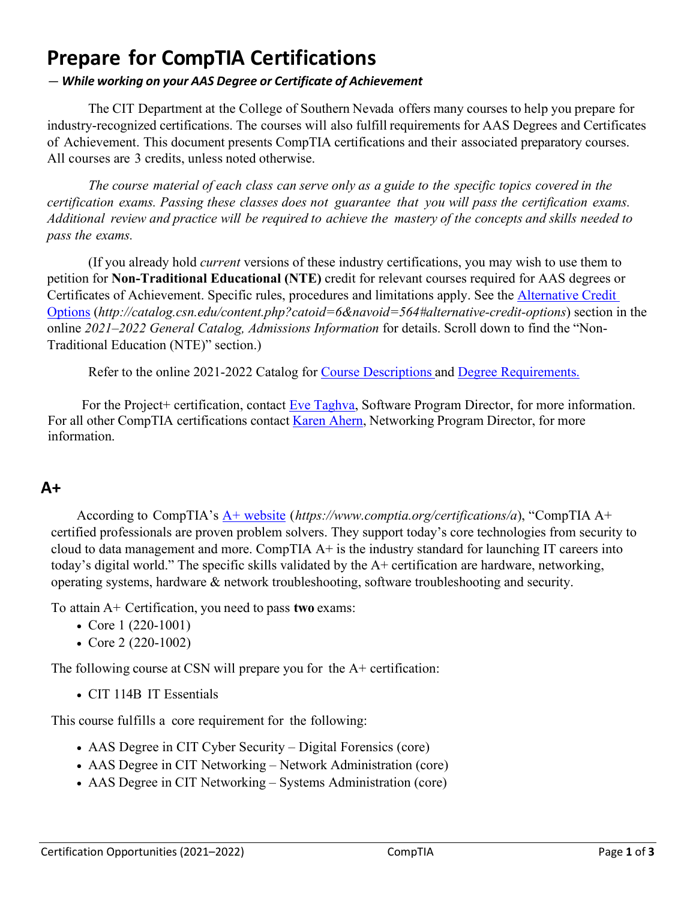# **Prepare for CompTIA Certifications**

#### *— While working on your AAS Degree or Certificate of Achievement*

The CIT Department at the College of Southern Nevada offers many courses to help you prepare for industry-recognized certifications. The courses will also fulfill requirements for AAS Degrees and Certificates of Achievement. This document presents CompTIA certifications and their associated preparatory courses. All courses are 3 credits, unless noted otherwise.

The course material of each class can serve only as a guide to the specific topics covered in the *certification exams. Passing these classes does not guarantee that you will pass the certification exams.*  Additional review and practice will be required to achieve the mastery of the concepts and skills needed to *pass the exams.*

(If you already hold *current* versions of these industry certifications, you may wish to use them to petition for **Non-Traditional Educational (NTE)** credit for relevant courses required for AAS degrees or Certificates of Achievement. Specific rules, procedures and limitations apply. See the [Alternative Credit](http://catalog.csn.edu/content.php?catoid=6&navoid=564#alternative-credit-options)  [Options](http://catalog.csn.edu/content.php?catoid=6&navoid=564#alternative-credit-options) (*http://catalog.csn.edu/content.php?catoid=6&navoid=564#alternative-credit-options*) section in the online *2021–2022 General Catalog, Admissions Information* for details. Scroll down to find the "Non-Traditional Education (NTE)" section.)

Refer to the online 2021-2022 Catalog for [Course Descriptions](http://catalog.csn.edu/content.php?catoid=6&navoid=571) and [Degree Requirements](http://catalog.csn.edu/content.php?catoid=6&navoid=594).

For the Project+ certification, contact [Eve Taghva,](https://www.csn.edu/directory/eve-taghva) Software Program Director, for more information. For all other CompTIA certifications contact [Karen Ahern,](https://www.csn.edu/directory/karen-ahern) Networking Program Director, for more information.

#### **A+**

According to CompTIA's [A+ website](https://www.comptia.org/certifications/a) (*https://www.comptia.org/certifications/a*), "CompTIA A+ certified professionals are proven problem solvers. They support today's core technologies from security to cloud to data management and more. CompTIA A+ is the industry standard for launching IT careers into today's digital world." The specific skills validated by the A+ certification are hardware, networking, operating systems, hardware & network troubleshooting, software troubleshooting and security.

To attain A+ Certification, you need to pass **two** exams:

- Core 1 (220-1001)
- Core 2 (220-1002)

The following course at CSN will prepare you for the A+ certification:

• CIT 114B IT Essentials

This course fulfills a core requirement for the following:

- AAS Degree in CIT Cyber Security Digital Forensics (core)
- AAS Degree in CIT Networking Network Administration (core)
- AAS Degree in CIT Networking Systems Administration (core)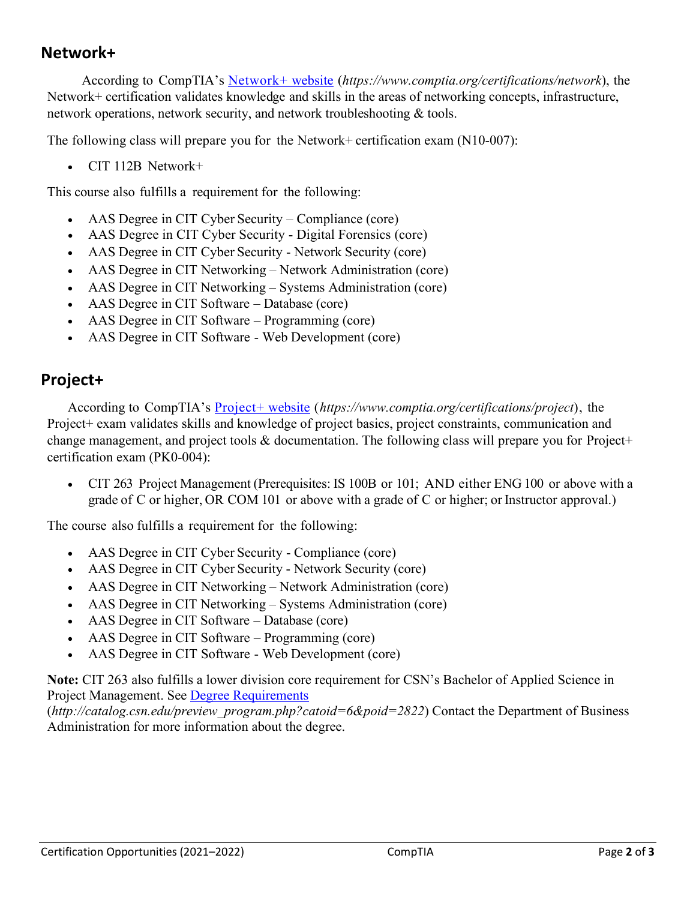#### **Network+**

According to CompTIA's [Network+ website](https://www.comptia.org/certifications/network) (*https://www.comptia.org/certifications/network*), the Network+ certification validates knowledge and skills in the areas of networking concepts, infrastructure, network operations, network security, and network troubleshooting & tools.

The following class will prepare you for the Network+ certification exam (N10-007):

• CIT 112B Network+

This course also fulfills a requirement for the following:

- AAS Degree in CIT Cyber Security Compliance (core)
- AAS Degree in CIT Cyber Security Digital Forensics (core)
- AAS Degree in CIT Cyber Security Network Security (core)
- AAS Degree in CIT Networking Network Administration (core)
- AAS Degree in CIT Networking Systems Administration (core)
- AAS Degree in CIT Software Database (core)
- AAS Degree in CIT Software Programming (core)
- AAS Degree in CIT Software Web Development (core)

#### **Project+**

According to CompTIA's [Project+ website](https://www.comptia.org/certifications/project) (*https://www.comptia.org/certifications/project*), the Project+ exam validates skills and knowledge of project basics, project constraints, communication and change management, and project tools & documentation. The following class will prepare you for Project+ certification exam (PK0-004):

• CIT 263 Project Management (Prerequisites: IS 100B or 101; AND either ENG 100 or above with a grade of C or higher, OR COM 101 or above with a grade of C or higher; or Instructor approval.)

The course also fulfills a requirement for the following:

- AAS Degree in CIT Cyber Security Compliance (core)
- AAS Degree in CIT Cyber Security Network Security (core)
- AAS Degree in CIT Networking Network Administration (core)
- AAS Degree in CIT Networking Systems Administration (core)
- AAS Degree in CIT Software Database (core)
- AAS Degree in CIT Software Programming (core)
- AAS Degree in CIT Software Web Development (core)

**Note:** CIT 263 also fulfills a lower division core requirement for CSN's Bachelor of Applied Science in Project Management. See [Degree Requirements](http://catalog.csn.edu/preview_program.php?catoid=6&poid=2822)

(*http://catalog.csn.edu/preview\_program.php?catoid=6&poid=2822*) Contact the Department of Business Administration for more information about the degree.